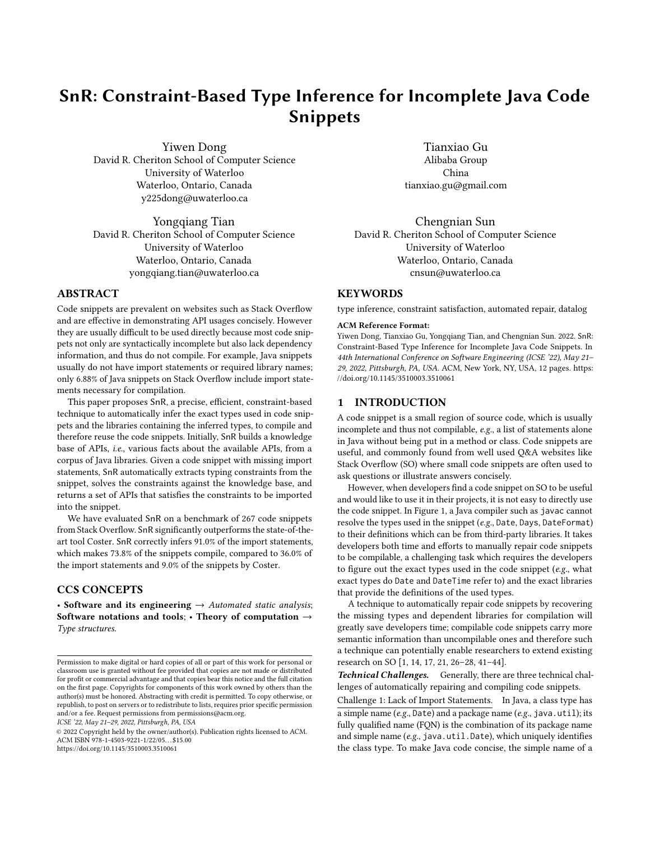# SnR: Constraint-Based Type Inference for Incomplete Java Code Snippets

Yiwen Dong David R. Cheriton School of Computer Science University of Waterloo Waterloo, Ontario, Canada y225dong@uwaterloo.ca

Yongqiang Tian David R. Cheriton School of Computer Science University of Waterloo Waterloo, Ontario, Canada yongqiang.tian@uwaterloo.ca

## ABSTRACT

Code snippets are prevalent on websites such as Stack Overflow and are effective in demonstrating API usages concisely. However they are usually difficult to be used directly because most code snippets not only are syntactically incomplete but also lack dependency information, and thus do not compile. For example, Java snippets usually do not have import statements or required library names; only 6.88% of Java snippets on Stack Overflow include import statements necessary for compilation.

This paper proposes SnR, a precise, efficient, constraint-based technique to automatically infer the exact types used in code snippets and the libraries containing the inferred types, to compile and therefore reuse the code snippets. Initially, SnR builds a knowledge base of APIs, i.e., various facts about the available APIs, from a corpus of Java libraries. Given a code snippet with missing import statements, SnR automatically extracts typing constraints from the snippet, solves the constraints against the knowledge base, and returns a set of APIs that satisfies the constraints to be imported into the snippet.

We have evaluated SnR on a benchmark of 267 code snippets from Stack Overflow. SnR significantly outperforms the state-of-theart tool Coster. SnR correctly infers 91.0% of the import statements, which makes 73.8% of the snippets compile, compared to 36.0% of the import statements and 9.0% of the snippets by Coster.

# CCS CONCEPTS

• Software and its engineering  $\rightarrow$  Automated static analysis; Software notations and tools; • Theory of computation  $\rightarrow$ Type structures.

ICSE '22, May 21–29, 2022, Pittsburgh, PA, USA

© 2022 Copyright held by the owner/author(s). Publication rights licensed to ACM. ACM ISBN 978-1-4503-9221-1/22/05. . . \$15.00 <https://doi.org/10.1145/3510003.3510061>

Tianxiao Gu Alibaba Group China tianxiao.gu@gmail.com

Chengnian Sun David R. Cheriton School of Computer Science University of Waterloo Waterloo, Ontario, Canada cnsun@uwaterloo.ca

## KEYWORDS

type inference, constraint satisfaction, automated repair, datalog

#### ACM Reference Format:

Yiwen Dong, Tianxiao Gu, Yongqiang Tian, and Chengnian Sun. 2022. SnR: Constraint-Based Type Inference for Incomplete Java Code Snippets. In 44th International Conference on Software Engineering (ICSE '22), May 21– 29, 2022, Pittsburgh, PA, USA. ACM, New York, NY, USA, [12](#page-11-0) pages. [https:](https://doi.org/10.1145/3510003.3510061) [//doi.org/10.1145/3510003.3510061](https://doi.org/10.1145/3510003.3510061)

# 1 INTRODUCTION

A code snippet is a small region of source code, which is usually incomplete and thus not compilable, e.g., a list of statements alone in Java without being put in a method or class. Code snippets are useful, and commonly found from well used Q&A websites like Stack Overflow (SO) where small code snippets are often used to ask questions or illustrate answers concisely.

However, when developers find a code snippet on SO to be useful and would like to use it in their projects, it is not easy to directly use the code snippet. In Figure [1,](#page-1-0) a Java compiler such as javac cannot resolve the types used in the snippet (e.g., Date, Days, DateFormat) to their definitions which can be from third-party libraries. It takes developers both time and efforts to manually repair code snippets to be compilable, a challenging task which requires the developers to figure out the exact types used in the code snippet (e.g., what exact types do Date and DateTime refer to) and the exact libraries that provide the definitions of the used types.

A technique to automatically repair code snippets by recovering the missing types and dependent libraries for compilation will greatly save developers time; compilable code snippets carry more semantic information than uncompilable ones and therefore such a technique can potentially enable researchers to extend existing research on SO [\[1,](#page-10-0) [14,](#page-10-1) [17,](#page-11-1) [21,](#page-11-2) [26](#page-11-3)[–28,](#page-11-4) [41–](#page-11-5)[44\]](#page-11-6).

Technical Challenges. Generally, there are three technical challenges of automatically repairing and compiling code snippets.

Challenge 1: Lack of Import Statements. In Java, a class type has a simple name (e.g., Date) and a package name (e.g., java.util); its fully qualified name (FQN) is the combination of its package name and simple name (e.g., java.util.Date), which uniquely identifies the class type. To make Java code concise, the simple name of a

Permission to make digital or hard copies of all or part of this work for personal or classroom use is granted without fee provided that copies are not made or distributed for profit or commercial advantage and that copies bear this notice and the full citation on the first page. Copyrights for components of this work owned by others than the author(s) must be honored. Abstracting with credit is permitted. To copy otherwise, or republish, to post on servers or to redistribute to lists, requires prior specific permission and/or a fee. Request permissions from permissions@acm.org.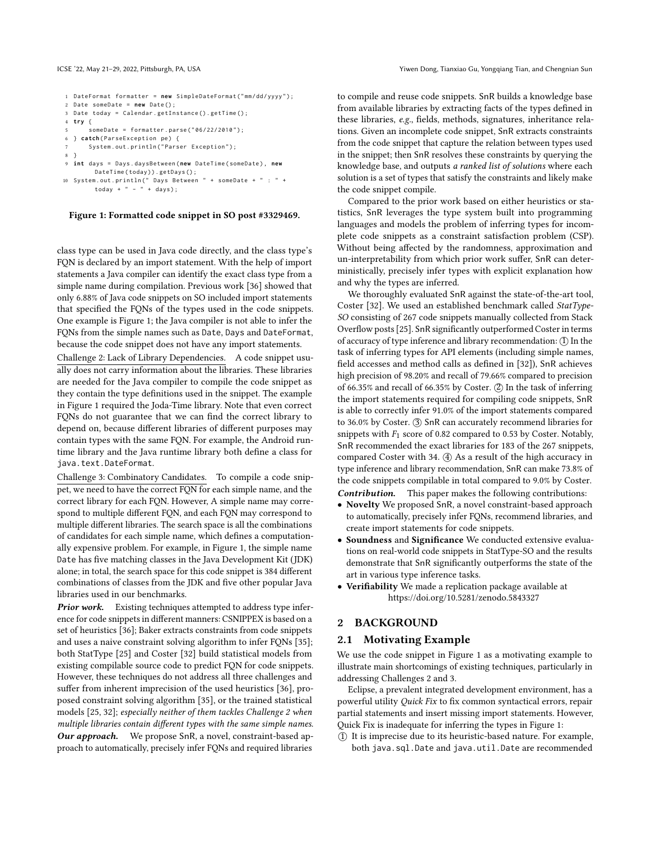```
1 DateFormat formatter = new SimpleDateFormat ("mm/dd/yyyy");
2 Date someDate = new Date () ;
3 Date today = Calendar . getInstance () . getTime () ;
4 try {
       someDate = formatter.parse("06/22/2010");
6 } catch ( ParseException pe ) {
       System.out.println ("Parser Exception");
8 }
9 int days = Days . daysBetween ( new DateTime ( someDate ) , new
        DateTime(today)).getDays();
10 System.out.println(" Days Between " + someDate + " : " +<br>today + " - " + days);
```
#### Figure 1: Formatted code snippet in SO post #3329469.

class type can be used in Java code directly, and the class type's FQN is declared by an import statement. With the help of import statements a Java compiler can identify the exact class type from a simple name during compilation. Previous work [\[36\]](#page-11-7) showed that only 6.88% of Java code snippets on SO included import statements that specified the FQNs of the types used in the code snippets. One example is Figure [1;](#page-1-0) the Java compiler is not able to infer the FQNs from the simple names such as Date, Days and DateFormat, because the code snippet does not have any import statements.

Challenge 2: Lack of Library Dependencies. A code snippet usually does not carry information about the libraries. These libraries are needed for the Java compiler to compile the code snippet as they contain the type definitions used in the snippet. The example in Figure [1](#page-1-0) required the Joda-Time library. Note that even correct FQNs do not guarantee that we can find the correct library to depend on, because different libraries of different purposes may contain types with the same FQN. For example, the Android runtime library and the Java runtime library both define a class for java.text.DateFormat.

Challenge 3: Combinatory Candidates. To compile a code snippet, we need to have the correct FQN for each simple name, and the correct library for each FQN. However, A simple name may correspond to multiple different FQN, and each FQN may correspond to multiple different libraries. The search space is all the combinations of candidates for each simple name, which defines a computationally expensive problem. For example, in Figure [1,](#page-1-0) the simple name Date has five matching classes in the Java Development Kit (JDK) alone; in total, the search space for this code snippet is 384 different combinations of classes from the JDK and five other popular Java libraries used in our benchmarks.

Prior work. Existing techniques attempted to address type inference for code snippets in different manners: CSNIPPEX is based on a set of heuristics [\[36\]](#page-11-7); Baker extracts constraints from code snippets and uses a naive constraint solving algorithm to infer FQNs [\[35\]](#page-11-8); both StatType [\[25\]](#page-11-9) and Coster [\[32\]](#page-11-10) build statistical models from existing compilable source code to predict FQN for code snippets. However, these techniques do not address all three challenges and suffer from inherent imprecision of the used heuristics [\[36\]](#page-11-7), proposed constraint solving algorithm [\[35\]](#page-11-8), or the trained statistical models [\[25,](#page-11-9) [32\]](#page-11-10); especially neither of them tackles Challenge 2 when multiple libraries contain different types with the same simple names.

Our approach. We propose SnR, a novel, constraint-based approach to automatically, precisely infer FQNs and required libraries

to compile and reuse code snippets. SnR builds a knowledge base from available libraries by extracting facts of the types defined in these libraries, e.g., fields, methods, signatures, inheritance relations. Given an incomplete code snippet, SnR extracts constraints from the code snippet that capture the relation between types used in the snippet; then SnR resolves these constraints by querying the knowledge base, and outputs a ranked list of solutions where each solution is a set of types that satisfy the constraints and likely make the code snippet compile.

Compared to the prior work based on either heuristics or statistics, SnR leverages the type system built into programming languages and models the problem of inferring types for incomplete code snippets as a constraint satisfaction problem (CSP). Without being affected by the randomness, approximation and un-interpretability from which prior work suffer, SnR can deterministically, precisely infer types with explicit explanation how and why the types are inferred.

We thoroughly evaluated SnR against the state-of-the-art tool, Coster [\[32\]](#page-11-10). We used an established benchmark called StatType-SO consisting of 267 code snippets manually collected from Stack Overflow posts [\[25\]](#page-11-9). SnR significantly outperformed Coster in terms of accuracy of type inference and library recommendation:  $(1)$  In the task of inferring types for API elements (including simple names, field accesses and method calls as defined in [\[32\]](#page-11-10)), SnR achieves high precision of 98.20% and recall of 79.66% compared to precision of 66.35% and recall of 66.35% by Coster.  $(2)$  In the task of inferring the import statements required for compiling code snippets, SnR is able to correctly infer 91.0% of the import statements compared to 36.0% by Coster. (3) SnR can accurately recommend libraries for snippets with  $F_1$  score of 0.82 compared to 0.53 by Coster. Notably, SnR recommended the exact libraries for 183 of the 267 snippets, compared Coster with 34.  $(4)$  As a result of the high accuracy in type inference and library recommendation, SnR can make 73.8% of the code snippets compilable in total compared to 9.0% by Coster. Contribution. This paper makes the following contributions:

- Novelty We proposed SnR, a novel constraint-based approach to automatically, precisely infer FQNs, recommend libraries, and create import statements for code snippets.
- Soundness and Significance We conducted extensive evaluations on real-world code snippets in StatType-SO and the results demonstrate that SnR significantly outperforms the state of the art in various type inference tasks.
- Verifiability We made a replication package available at <https://doi.org/10.5281/zenodo.5843327>

## 2 BACKGROUND

## 2.1 Motivating Example

We use the code snippet in Figure [1](#page-1-0) as a motivating example to illustrate main shortcomings of existing techniques, particularly in addressing Challenges 2 and 3.

Eclipse, a prevalent integrated development environment, has a powerful utility Quick Fix to fix common syntactical errors, repair partial statements and insert missing import statements. However, Quick Fix is inadequate for inferring the types in Figure [1:](#page-1-0)

○1 It is imprecise due to its heuristic-based nature. For example, both java.sql.Date and java.util.Date are recommended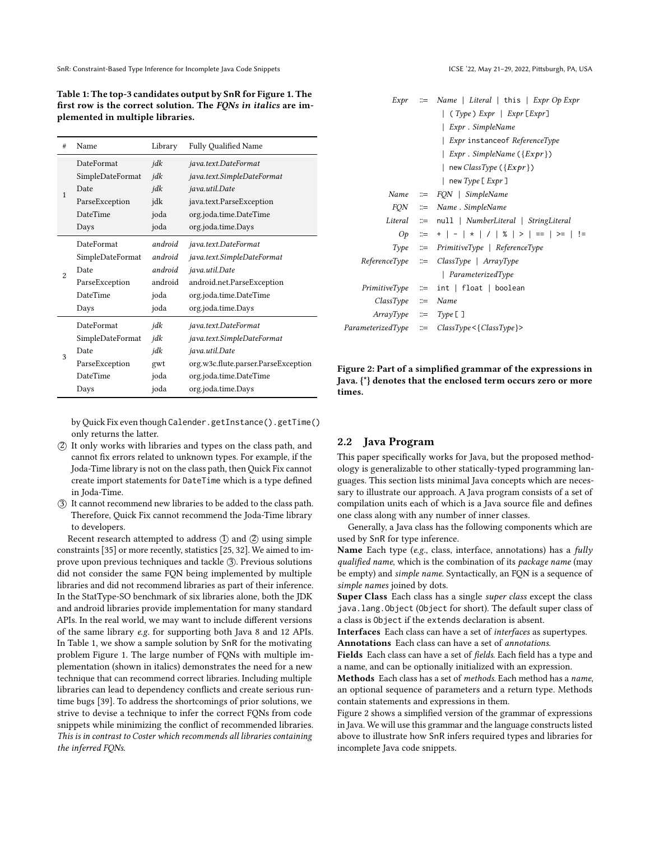SnR: Constraint-Based Type Inference for Incomplete Java Code Snippets ICSE '22, May 21-29, 2022, Pittsburgh, PA, USA

<span id="page-2-0"></span>Table 1: The top-3 candidates output by SnR for Figure [1.](#page-1-0) The first row is the correct solution. The FQNs in italics are implemented in multiple libraries.

| #              | Name                                                                                                                            | Library                                                  | <b>Fully Qualified Name</b>                                                                                                                                 |
|----------------|---------------------------------------------------------------------------------------------------------------------------------|----------------------------------------------------------|-------------------------------------------------------------------------------------------------------------------------------------------------------------|
| $\mathbf{1}$   | DateFormat<br>SimpleDateFormat<br>Date<br>ParseException<br><b>DateTime</b>                                                     | jdk<br>jdk<br>jdk<br>jdk<br>joda                         | java.text.DateFormat<br>java.text.SimpleDateFormat<br>java.util.Date<br>java.text.ParseException<br>org.joda.time.DateTime                                  |
|                | Days                                                                                                                            | joda                                                     | org.joda.time.Days                                                                                                                                          |
| $\overline{2}$ | DateFormat<br>SimpleDateFormat<br>Date<br>ParseException<br><b>DateTime</b><br>Days                                             | android<br>android<br>android<br>android<br>joda<br>joda | java.text.DateFormat<br>java.text.SimpleDateFormat<br>java.util.Date<br>android.net.ParseException<br>org.joda.time.DateTime<br>org.joda.time.Days          |
| 3              | DateFormat<br>jdk<br>SimpleDateFormat<br>jdk<br>jdk<br>Date<br>ParseException<br>gwt<br><b>DateTime</b><br>joda<br>joda<br>Days |                                                          | java.text.DateFormat<br>java.text.SimpleDateFormat<br>java.util.Date<br>org.w3c.flute.parser.ParseException<br>org.joda.time.DateTime<br>org.joda.time.Days |

by Quick Fix even though Calender.getInstance().getTime() only returns the latter.

- ○2 It only works with libraries and types on the class path, and cannot fix errors related to unknown types. For example, if the Joda-Time library is not on the class path, then Quick Fix cannot create import statements for DateTime which is a type defined in Joda-Time.
- ○3 It cannot recommend new libraries to be added to the class path. Therefore, Quick Fix cannot recommend the Joda-Time library to developers.

Recent research attempted to address  $(1)$  and  $(2)$  using simple constraints [\[35\]](#page-11-8) or more recently, statistics [\[25,](#page-11-9) [32\]](#page-11-10). We aimed to improve upon previous techniques and tackle (3). Previous solutions did not consider the same FQN being implemented by multiple libraries and did not recommend libraries as part of their inference. In the StatType-SO benchmark of six libraries alone, both the JDK and android libraries provide implementation for many standard APIs. In the real world, we may want to include different versions of the same library e.g. for supporting both Java 8 and 12 APIs. In Table [1,](#page-2-0) we show a sample solution by SnR for the motivating problem Figure [1.](#page-1-0) The large number of FQNs with multiple implementation (shown in italics) demonstrates the need for a new technique that can recommend correct libraries. Including multiple libraries can lead to dependency conflicts and create serious runtime bugs [\[39\]](#page-11-11). To address the shortcomings of prior solutions, we strive to devise a technique to infer the correct FQNs from code snippets while minimizing the conflict of recommended libraries. This is in contrast to Coster which recommends all libraries containing the inferred FQNs.

<span id="page-2-1"></span>

Figure 2: Part of a simplified grammar of the expressions in Java. {\*} denotes that the enclosed term occurs zero or more times.

## 2.2 Java Program

This paper specifically works for Java, but the proposed methodology is generalizable to other statically-typed programming languages. This section lists minimal Java concepts which are necessary to illustrate our approach. A Java program consists of a set of compilation units each of which is a Java source file and defines one class along with any number of inner classes.

Generally, a Java class has the following components which are used by SnR for type inference.

Name Each type (e.g., class, interface, annotations) has a fully qualified name, which is the combination of its package name (may be empty) and simple name. Syntactically, an FQN is a sequence of simple names joined by dots.

Super Class Each class has a single super class except the class java.lang.Object (Object for short). The default super class of a class is Object if the extends declaration is absent.

Interfaces Each class can have a set of interfaces as supertypes. Annotations Each class can have a set of *annotations*.

Fields Each class can have a set of *fields*. Each field has a type and a name, and can be optionally initialized with an expression.

Methods Each class has a set of methods. Each method has a name, an optional sequence of parameters and a return type. Methods contain statements and expressions in them.

Figure [2](#page-2-1) shows a simplified version of the grammar of expressions in Java. We will use this grammar and the language constructs listed above to illustrate how SnR infers required types and libraries for incomplete Java code snippets.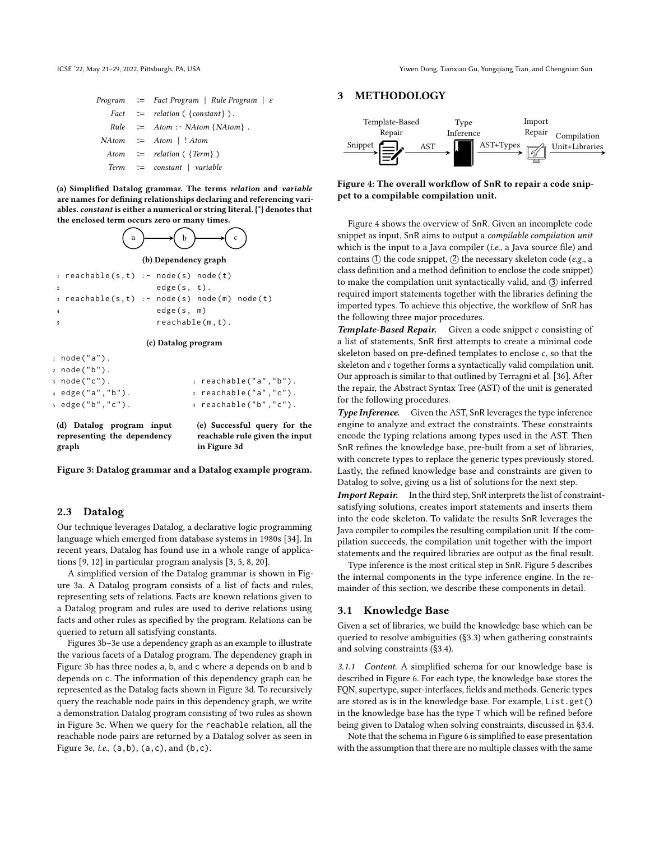<span id="page-3-0"></span>ICSE '22, May 21–29, 2022, Pittsburgh, PA, USA Yiwen Dong, Tianxiao Gu, Yongqiang Tian, and Chengnian Sun

|  | <i>Program</i> $\equiv$ <i>Fact Program</i>   <i>Rule Program</i>   $\varepsilon$ |
|--|-----------------------------------------------------------------------------------|
|  | Fact $\equiv$ relation ({constant}).                                              |
|  | $Rule \cong Atom : - NAtom \{NAtom\}$ .                                           |
|  | $NAtom \cong Atom \mid$ ! Atom                                                    |
|  | Atom $\equiv$ relation ({Term})                                                   |
|  | $Term \cong constant \mid variable$                                               |

(a) Simplified Datalog grammar. The terms relation and variable are names for defining relationships declaring and referencing variables. constant is either a numerical or string literal. {\*} denotes that the enclosed term occurs zero or many times.



(b) Dependency graph

|                | $_1$ reachable(s,t) :- node(s) node(t)             |                |                    |  |
|----------------|----------------------------------------------------|----------------|--------------------|--|
| <sup>2</sup>   |                                                    | $edge(s, t)$ . |                    |  |
|                | $\sigma$ reachable(s,t) :- node(s) node(m) node(t) |                |                    |  |
| $\overline{4}$ |                                                    | edge(s, m)     |                    |  |
|                |                                                    |                | $readable(m, t)$ . |  |

#### (c) Datalog program

| 1 node("a").     |                              |
|------------------|------------------------------|
| 2 node("b").     |                              |
| з node("c").     | $_1$ reachable("a","b").     |
| 4 edge("a","b"). | $\alpha$ reachable("a","c"). |
| s edge("b","c"). | $\alpha$ reachable("b","c"). |
|                  |                              |

(d) Datalog program input representing the dependency graph

(e) Successful query for the reachable rule given the input in Figure [3d](#page-3-0)

Figure 3: Datalog grammar and a Datalog example program.

#### 2.3 Datalog

Our technique leverages Datalog, a declarative logic programming language which emerged from database systems in 1980s [\[34\]](#page-11-12). In recent years, Datalog has found use in a whole range of applications [\[9,](#page-10-2) [12\]](#page-10-3) in particular program analysis [\[3,](#page-10-4) [5,](#page-10-5) [8,](#page-10-6) [20\]](#page-11-13).

A simplified version of the Datalog grammar is shown in Figure [3a.](#page-3-0) A Datalog program consists of a list of facts and rules, representing sets of relations. Facts are known relations given to a Datalog program and rules are used to derive relations using facts and other rules as specified by the program. Relations can be queried to return all satisfying constants.

Figures [3b–3e](#page-3-0) use a dependency graph as an example to illustrate the various facets of a Datalog program. The dependency graph in Figure [3b](#page-3-0) has three nodes a, b, and c where a depends on b and b depends on c. The information of this dependency graph can be represented as the Datalog facts shown in Figure [3d.](#page-3-0) To recursively query the reachable node pairs in this dependency graph, we write a demonstration Datalog program consisting of two rules as shown in Figure [3c.](#page-3-0) When we query for the reachable relation, all the reachable node pairs are returned by a Datalog solver as seen in Figure [3e,](#page-3-0) *i.e.*,  $(a, b)$ ,  $(a, c)$ , and  $(b, c)$ .

# 3 METHODOLOGY

<span id="page-3-1"></span>

Figure 4: The overall workflow of SnR to repair a code snippet to a compilable compilation unit.

Figure [4](#page-3-1) shows the overview of SnR. Given an incomplete code snippet as input, SnR aims to output a compilable compilation unit which is the input to a Java compiler (i.e., a Java source file) and contains  $(1)$  the code snippet,  $(2)$  the necessary skeleton code (e.g., a class definition and a method definition to enclose the code snippet) to make the compilation unit syntactically valid, and 3 inferred required import statements together with the libraries defining the imported types. To achieve this objective, the workflow of SnR has the following three major procedures.

Template-Based Repair. Given a code snippet c consisting of a list of statements, SnR first attempts to create a minimal code skeleton based on pre-defined templates to enclose  $c$ , so that the skeleton and c together forms a syntactically valid compilation unit. Our approach is similar to that outlined by Terragni et al. [\[36\]](#page-11-7). After the repair, the Abstract Syntax Tree (AST) of the unit is generated for the following procedures.

Type Inference. Given the AST, SnR leverages the type inference engine to analyze and extract the constraints. These constraints encode the typing relations among types used in the AST. Then SnR refines the knowledge base, pre-built from a set of libraries, with concrete types to replace the generic types previously stored. Lastly, the refined knowledge base and constraints are given to Datalog to solve, giving us a list of solutions for the next step. Import Repair. In the third step, SnR interprets the list of constraintsatisfying solutions, creates import statements and inserts them into the code skeleton. To validate the results SnR leverages the Java compiler to compiles the resulting compilation unit. If the compilation succeeds, the compilation unit together with the import statements and the required libraries are output as the final result.

Type inference is the most critical step in SnR. Figure [5](#page-4-0) describes the internal components in the type inference engine. In the remainder of this section, we describe these components in detail.

#### 3.1 Knowledge Base

Given a set of libraries, we build the knowledge base which can be queried to resolve ambiguities ([§3.3\)](#page-5-0) when gathering constraints and solving constraints ([§3.4\)](#page-5-1).

3.1.1 Content. A simplified schema for our knowledge base is described in Figure [6.](#page-4-1) For each type, the knowledge base stores the FQN, supertype, super-interfaces, fields and methods. Generic types are stored as is in the knowledge base. For example, List.get() in the knowledge base has the type T which will be refined before being given to Datalog when solving constraints, discussed in [§3.4.](#page-5-1)

Note that the schema in Figure [6](#page-4-1) is simplified to ease presentation with the assumption that there are no multiple classes with the same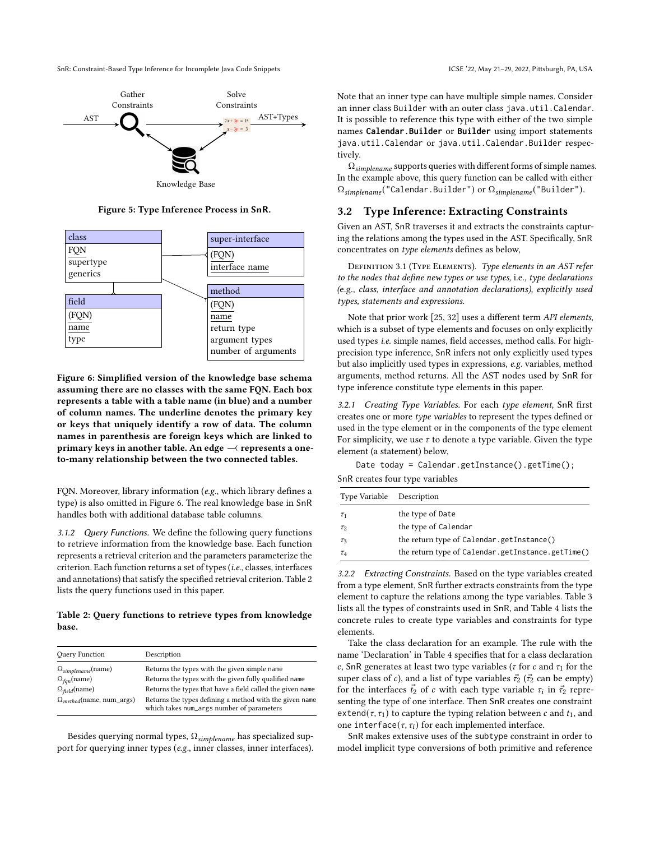SnR: Constraint-Based Type Inference for Incomplete Java Code Snippets ICSE '22, May 21-29, 2022, Pittsburgh, PA, USA

<span id="page-4-0"></span>

Figure 5: Type Inference Process in SnR.

<span id="page-4-1"></span>

Figure 6: Simplified version of the knowledge base schema assuming there are no classes with the same FQN. Each box represents a table with a table name (in blue) and a number of column names. The underline denotes the primary key or keys that uniquely identify a row of data. The column names in parenthesis are foreign keys which are linked to primary keys in another table. An edge  $\rightarrow$  represents a oneto-many relationship between the two connected tables.

FQN. Moreover, library information (e.g., which library defines a type) is also omitted in Figure [6.](#page-4-1) The real knowledge base in SnR handles both with additional database table columns.

3.1.2 Query Functions. We define the following query functions to retrieve information from the knowledge base. Each function represents a retrieval criterion and the parameters parameterize the criterion. Each function returns a set of types (i.e., classes, interfaces and annotations) that satisfy the specified retrieval criterion. Table [2](#page-4-2) lists the query functions used in this paper.

<span id="page-4-2"></span>Table 2: Query functions to retrieve types from knowledge base.

| Query Function                     | Description                                                                                          |
|------------------------------------|------------------------------------------------------------------------------------------------------|
| $\Omega_{simplename}$ (name)       | Returns the types with the given simple name                                                         |
| $\Omega_{fan}$ (name)              | Returns the types with the given fully qualified name                                                |
| $\Omega_{field}$ (name)            | Returns the types that have a field called the given name                                            |
| $\Omega_{method}$ (name, num args) | Returns the types defining a method with the given name<br>which takes num_args number of parameters |

Besides querying normal types,  $\Omega_{simplename}$  has specialized support for querying inner types (e.g., inner classes, inner interfaces). Note that an inner type can have multiple simple names. Consider an inner class Builder with an outer class java.util.Calendar. It is possible to reference this type with either of the two simple names **Calendar.Builder** or **Builder** using import statements java.util.Calendar or java.util.Calendar.Builder respectively.

 $\Omega_{simplename}$  supports queries with different forms of simple names. In the example above, this query function can be called with either  $\Omega_{simplement}$  ("Calendar.Builder") or  $\Omega_{simplement}$  ("Builder").

## 3.2 Type Inference: Extracting Constraints

Given an AST, SnR traverses it and extracts the constraints capturing the relations among the types used in the AST. Specifically, SnR concentrates on type elements defines as below,

<span id="page-4-4"></span>DEFINITION 3.1 (TYPE ELEMENTS). Type elements in an AST refer to the nodes that define new types or use types, i.e., type declarations (e.g., class, interface and annotation declarations), explicitly used types, statements and expressions.

Note that prior work [\[25,](#page-11-9) [32\]](#page-11-10) uses a different term API elements, which is a subset of type elements and focuses on only explicitly used types i.e. simple names, field accesses, method calls. For highprecision type inference, SnR infers not only explicitly used types but also implicitly used types in expressions, e.g. variables, method arguments, method returns. All the AST nodes used by SnR for type inference constitute type elements in this paper.

<span id="page-4-3"></span>3.2.1 Creating Type Variables. For each type element, SnR first creates one or more type variables to represent the types defined or used in the type element or in the components of the type element For simplicity, we use  $\tau$  to denote a type variable. Given the type element (a statement) below,

Date today = Calendar.getInstance().getTime(); SnR creates four type variables

| Type Variable Description |                                                   |
|---------------------------|---------------------------------------------------|
| $\tau_1$                  | the type of Date                                  |
| $\tau_2$                  | the type of Calendar                              |
| $\tau_3$                  | the return type of Calendar.getInstance()         |
| $\tau_4$                  | the return type of Calendar.getInstance.getTime() |

3.2.2 Extracting Constraints. Based on the type variables created from a type element, SnR further extracts constraints from the type element to capture the relations among the type variables. Table [3](#page-5-2) lists all the types of constraints used in SnR, and Table [4](#page-6-0) lists the concrete rules to create type variables and constraints for type elements.

Take the class declaration for an example. The rule with the name 'Declaration' in Table [4](#page-6-0) specifies that for a class declaration c, SnR generates at least two type variables ( $\tau$  for  $c$  and  $\tau_1$  for the super class of c), and a list of type variables  $\vec{\tau}_2$  ( $\vec{\tau}_2$  can be empty) for the interfaces  $\vec{t}_2$  of c with each type variable  $\tau_i$  in  $\vec{\tau}_2$  representing the type of one interface. Then SnR creates one constraint extend( $\tau$ ,  $\tau$ <sub>1</sub>) to capture the typing relation between  $c$  and  $t$ <sub>1</sub>, and one interface( $\tau$ ,  $\tau$ <sub>i</sub>) for each implemented interface.

SnR makes extensive uses of the subtype constraint in order to model implicit type conversions of both primitive and reference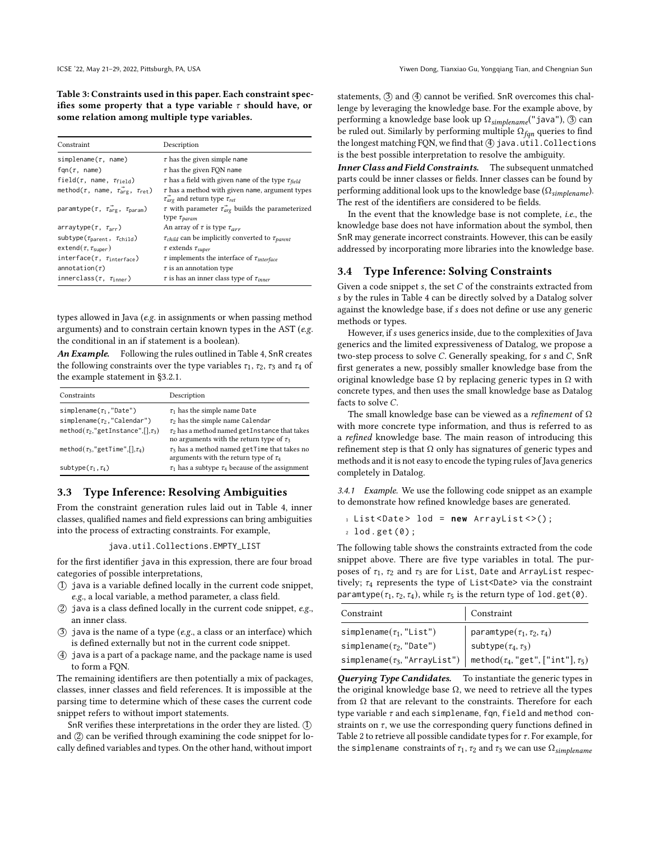<span id="page-5-2"></span>Table 3: Constraints used in this paper. Each constraint specifies some property that a type variable  $\tau$  should have, or some relation among multiple type variables.

| Constraint                                                              | Description                                                                                                          |
|-------------------------------------------------------------------------|----------------------------------------------------------------------------------------------------------------------|
| simplename( $\tau$ , name)                                              | $\tau$ has the given simple name                                                                                     |
| fqn( $\tau$ , name)                                                     | $\tau$ has the given FQN name                                                                                        |
| field( $\tau$ , name, $\tau_{field}$ )                                  | $\tau$ has a field with given name of the type $\tau_{field}$                                                        |
| method( $\tau$ , name, $\vec{\tau_{\text{arg}}}, \ \tau_{\text{ret}}$ ) | $\tau$ has a method with given name, argument types<br>$\vec{\tau}_{\text{arg}}$ and return type $\tau_{\text{ref}}$ |
| paramtype $(\tau, \vec{\tau_{\text{area}}}, \tau_{\text{param}})$       | $\tau$ with parameter $\tau_{\text{arg}}^2$ builds the parameterized<br>type $\tau_{param}$                          |
| $arraytype(\tau, \tau_{arr})$                                           | An array of $\tau$ is type $\tau_{arr}$                                                                              |
| subtype( $\tau_{\text{parent}}$ , $\tau_{\text{child}}$ )               | $\tau_{child}$ can be implicitly converted to $\tau_{parent}$                                                        |
| $extend(\tau, \tau_{super})$                                            | $\tau$ extends $\tau_{super}$                                                                                        |
| interface( $\tau$ , $\tau$ <sub>interface</sub> )                       | $\tau$ implements the interface of $\tau_{interface}$                                                                |
| annotation $(\tau)$                                                     | $\tau$ is an annotation type                                                                                         |
| innerclass( $\tau$ , $\tau_{inner}$ )                                   | $\tau$ is has an inner class type of $\tau_{inner}$                                                                  |

types allowed in Java (e.g. in assignments or when passing method arguments) and to constrain certain known types in the AST (e.g. the conditional in an if statement is a boolean).

An Example. Following the rules outlined in Table [4,](#page-6-0) SnR creates the following constraints over the type variables  $\tau_1$ ,  $\tau_2$ ,  $\tau_3$  and  $\tau_4$  of the example statement in [§3.2.1.](#page-4-3)

| Constraints                                    | Description                                                                                          |
|------------------------------------------------|------------------------------------------------------------------------------------------------------|
| simplename( $\tau_1$ , "Date")                 | $\tau_1$ has the simple name Date                                                                    |
| simplename( $\tau_2$ , "Calendar")             | $\tau_2$ has the simple name Calendar                                                                |
| method( $\tau_2$ ,"getInstance",[], $\tau_3$ ) | $\tau_2$ has a method named get Instance that takes<br>no arguments with the return type of $\tau_3$ |
| method( $\tau_3$ ,"getTime",[], $\tau_4$ )     | $\tau_3$ has a method named getTime that takes no<br>arguments with the return type of $\tau_4$      |
| subtype $(\tau_1, \tau_4)$                     | $\tau_1$ has a subtype $\tau_4$ because of the assignment                                            |

#### <span id="page-5-0"></span>3.3 Type Inference: Resolving Ambiguities

From the constraint generation rules laid out in Table [4,](#page-6-0) inner classes, qualified names and field expressions can bring ambiguities into the process of extracting constraints. For example,

#### java.util.Collections.EMPTY\_LIST

for the first identifier java in this expression, there are four broad categories of possible interpretations,

- $(1)$  java is a variable defined locally in the current code snippet, e.g., a local variable, a method parameter, a class field.
- $(2)$  java is a class defined locally in the current code snippet, e.g., an inner class.
- $(3)$  java is the name of a type (e.g., a class or an interface) which is defined externally but not in the current code snippet.
- ○4 java is a part of a package name, and the package name is used to form a FQN.

The remaining identifiers are then potentially a mix of packages, classes, inner classes and field references. It is impossible at the parsing time to determine which of these cases the current code snippet refers to without import statements.

SnR verifies these interpretations in the order they are listed.  $(1)$ and  $(2)$  can be verified through examining the code snippet for locally defined variables and types. On the other hand, without import

statements,  $(3)$  and  $(4)$  cannot be verified. SnR overcomes this challenge by leveraging the knowledge base. For the example above, by performing a knowledge base look up  $\Omega_{simplename}$ ("java"), ③ can be ruled out. Similarly by performing multiple  $\Omega_{fqn}$  queries to find the longest matching FQN, we find that  $(4)$  java.util.Collections is the best possible interpretation to resolve the ambiguity.

Inner Class and Field Constraints. The subsequent unmatched parts could be inner classes or fields. Inner classes can be found by performing additional look ups to the knowledge base ( $\Omega_{simplename}$ ). The rest of the identifiers are considered to be fields.

In the event that the knowledge base is not complete, i.e., the knowledge base does not have information about the symbol, then SnR may generate incorrect constraints. However, this can be easily addressed by incorporating more libraries into the knowledge base.

## <span id="page-5-1"></span>3.4 Type Inference: Solving Constraints

Given a code snippet  $s$ , the set  $C$  of the constraints extracted from by the rules in Table [4](#page-6-0) can be directly solved by a Datalog solver against the knowledge base, if *s* does not define or use any generic methods or types.

However, if s uses generics inside, due to the complexities of Java generics and the limited expressiveness of Datalog, we propose a two-step process to solve  $C$ . Generally speaking, for  $s$  and  $C$ , SnR first generates a new, possibly smaller knowledge base from the original knowledge base  $Ω$  by replacing generic types in  $Ω$  with concrete types, and then uses the small knowledge base as Datalog facts to solve  $C$ 

The small knowledge base can be viewed as a refinement of  $\Omega$ with more concrete type information, and thus is referred to as a refined knowledge base. The main reason of introducing this refinement step is that  $Ω$  only has signatures of generic types and methods and it is not easy to encode the typing rules of Java generics completely in Datalog.

3.4.1 Example. We use the following code snippet as an example to demonstrate how refined knowledge bases are generated.

<sup>1</sup> List < Date > lod = **new** ArrayList < >() ; <sup>2</sup> lod . get (0) ;

The following table shows the constraints extracted from the code snippet above. There are five type variables in total. The purposes of  $\tau_1$ ,  $\tau_2$  and  $\tau_3$  are for List, Date and ArrayList respectively;  $\tau_4$  represents the type of List<Date> via the constraint paramtype( $\tau_1$ ,  $\tau_2$ ,  $\tau_4$ ), while  $\tau_5$  is the return type of lod.get(0).

| Constraint                                                                                                                                               | Constraint |
|----------------------------------------------------------------------------------------------------------------------------------------------------------|------------|
| simplename( $\tau_1$ , "List")<br>simplename( $\tau_2$ , "Date")<br>simplename( $\tau_3$ , "ArrayList")<br>method( $\tau_4$ , "get", ["int"], $\tau_5$ ) |            |
|                                                                                                                                                          |            |
|                                                                                                                                                          |            |

Querying Type Candidates. To instantiate the generic types in the original knowledge base  $Ω$ , we need to retrieve all the types from Ω that are relevant to the constraints. Therefore for each type variable  $\tau$  and each simplename, fqn, field and method constraints on  $\tau$ , we use the corresponding query functions defined in Table [2](#page-4-2) to retrieve all possible candidate types for  $\tau$ . For example, for the simplename constraints of  $\tau_1$ ,  $\tau_2$  and  $\tau_3$  we can use  $\Omega_{simplename}$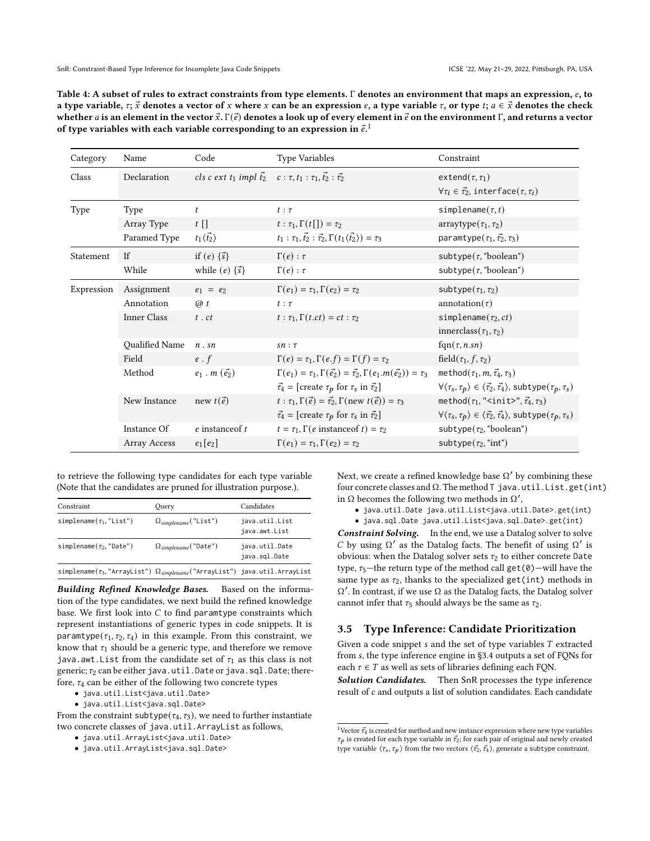<span id="page-6-0"></span>

| Table 4: A subset of rules to extract constraints from type elements. $\Gamma$ denotes an environment that maps an expression, $e$ , to                                 |
|-------------------------------------------------------------------------------------------------------------------------------------------------------------------------|
| a type variable, $\tau$ ; $\vec{x}$ denotes a vector of x where x can be an expression e, a type variable $\tau$ , or type t; $a \in \vec{x}$ denotes the check         |
| whether $a$ is an element in the vector $\vec{x}$ . $\Gamma(\vec{e})$ denotes a look up of every element in $\vec{e}$ on the environment $\Gamma,$ and returns a vector |
| of type variables with each variable corresponding to an expression in $\vec{e}$ .                                                                                      |

| Category   | Name               | Code                                                                                         | <b>Type Variables</b>                                                                       | Constraint                                                                                                           |
|------------|--------------------|----------------------------------------------------------------------------------------------|---------------------------------------------------------------------------------------------|----------------------------------------------------------------------------------------------------------------------|
| Class      | Declaration        | cls c ext t <sub>1</sub> impl $\vec{t}_2$ c : $\tau, t_1 : \tau_1, \vec{t}_2 : \vec{\tau}_2$ |                                                                                             | extend $(\tau, \tau)$<br>$\forall \tau_i \in \vec{\tau}_2$ , interface $(\tau, \tau_i)$                              |
| Type       | Type               | $\mathfrak{t}$                                                                               | $t : \tau$                                                                                  | simplename $(\tau, t)$                                                                                               |
|            | Array Type         | $t\prod$                                                                                     | $t: \tau_1, \Gamma(t[\cdot]) = \tau_2$                                                      | $arraytype(\tau_1, \tau_2)$                                                                                          |
|            | Paramed Type       | $t_1\langle \vec{t_2} \rangle$                                                               | $t_1 : \tau_1, \vec{t_2} : \vec{\tau_2}, \Gamma(t_1 \langle \vec{t_2} \rangle) = \tau_3$    | paramtype $(\tau_1, \vec{\tau}_2, \tau_3)$                                                                           |
| Statement  | If                 | if $(e) \{ \vec{s} \}$                                                                       | $\Gamma(e): \tau$                                                                           | subtype( $\tau$ , "boolean")                                                                                         |
|            | While              | while $(e) \{\vec{s}\}\$                                                                     | $\Gamma(e): \tau$                                                                           | subtype( $\tau$ , "boolean")                                                                                         |
| Expression | Assignment         | $e_1 = e_2$                                                                                  | $\Gamma(e_1) = \tau_1, \Gamma(e_2) = \tau_2$                                                | subtype $(\tau_1, \tau_2)$                                                                                           |
|            | Annotation         | $\omega t$                                                                                   | $t : \tau$                                                                                  | annotation( $\tau$ )                                                                                                 |
|            | <b>Inner Class</b> | $t$ . $ct$                                                                                   | $t: \tau_1, \Gamma(t, ct) = ct: \tau_2$                                                     | simplename( $\tau_2, ct$ )                                                                                           |
|            |                    |                                                                                              |                                                                                             | innerclass( $\tau_1, \tau_2$ )                                                                                       |
|            | Qualified Name     | $n$ . sn                                                                                     | $sn : \tau$                                                                                 | $fqn(\tau, n.sn)$                                                                                                    |
|            | Field              | $e \cdot f$                                                                                  | $\Gamma(e) = \tau_1, \Gamma(e.f) = \Gamma(f) = \tau_2$                                      | field( $\tau_1, f, \tau_2$ )                                                                                         |
|            | Method             | $e_1$ . $m(\vec{e_2})$                                                                       | $\Gamma(e_1) = \tau_1, \Gamma(\vec{e_2}) = \vec{\tau_2}, \Gamma(e_1.m(\vec{e_2})) = \tau_3$ | method $(\tau_1, m, \vec{\tau}_4, \tau_3)$                                                                           |
|            |                    |                                                                                              | $\vec{\tau}_4$ = [create $\tau_p$ for $\tau_s$ in $\vec{\tau}_2$ ]                          | $\forall \langle \tau_s, \tau_p \rangle \in \langle \vec{\tau_2}, \vec{\tau_4} \rangle$ , subtype $(\tau_p, \tau_s)$ |
|            | New Instance       | new $t(\vec{e})$                                                                             | $t : \tau_1, \Gamma(\vec{e}) = \vec{\tau}_2, \Gamma(\text{new } t(\vec{e})) = \tau_3$       | method( $\tau_1$ , " <init>", <math>\vec{\tau_4}</math>, <math>\tau_3</math>)</init>                                 |
|            |                    |                                                                                              | $\vec{\tau}_4$ = [create $\tau_p$ for $\tau_s$ in $\vec{\tau}_2$ ]                          | $\forall \langle \tau_s, \tau_p \rangle \in \langle \vec{\tau_2}, \vec{\tau_4} \rangle$ , subtype $(\tau_p, \tau_s)$ |
|            | Instance Of        | $e$ instance of $t$                                                                          | $t = \tau_1$ , $\Gamma(e$ instance of $t) = \tau_2$                                         | subtype( $\tau_2$ , "boolean")                                                                                       |
|            | Array Access       | $e_1[e_2]$                                                                                   | $\Gamma(e_1) = \tau_1, \Gamma(e_2) = \tau_2$                                                | subtype $(\tau_2, "int")$                                                                                            |

to retrieve the following type candidates for each type variable (Note that the candidates are pruned for illustration purpose.).

| Constraint                                                                                  | Ouery                          | Candidates                      |  |
|---------------------------------------------------------------------------------------------|--------------------------------|---------------------------------|--|
| simplename( $\tau_1$ , "List")                                                              | $\Omega_{simplename}("List")$  | java.util.List<br>java.awt.List |  |
| simplename( $\tau_2$ , "Date")                                                              | $\Omega_{simplename}$ ("Date") | java.util.Date<br>java.sql.Date |  |
| simplename( $\tau_3$ , "ArrayList") $\Omega_{simplename}$ ("ArrayList") java.util.ArrayList |                                |                                 |  |

Building Refined Knowledge Bases. Based on the information of the type candidates, we next build the refined knowledge base. We first look into  $C$  to find paramtype constraints which represent instantiations of generic types in code snippets. It is paramtype( $\tau_1, \tau_2, \tau_4$ ) in this example. From this constraint, we know that  $\tau_1$  should be a generic type, and therefore we remove java.awt.List from the candidate set of  $\tau_1$  as this class is not generic;  $\tau_2$  can be either java.util.Date or java.sql.Date; therefore,  $\tau_4$  can be either of the following two concrete types

- java.util.List<java.util.Date>
- java.util.List<java.sql.Date>

From the constraint subtype( $\tau_4$ ,  $\tau_3$ ), we need to further instantiate two concrete classes of java.util.ArrayList as follows,

- java.util.ArrayList<java.util.Date>
- java.util.ArrayList<java.sql.Date>

Next, we create a refined knowledge base  $\Omega'$  by combining these four concrete classes and  $\Omega$ . The method T java.util.List.get(int) in  $\Omega$  becomes the following two methods in  $\Omega'$ ,

• java.util.Date java.util.List<java.util.Date>.get(int)

• java.sql.Date java.util.List<java.sql.Date>.get(int)

Constraint Solving. In the end, we use a Datalog solver to solve C by using  $Ω'$  as the Datalog facts. The benefit of using  $Ω'$  is obvious: when the Datalog solver sets  $\tau_2$  to either concrete Date type,  $\tau_5$ —the return type of the method call get(0)—will have the same type as  $\tau_2$ , thanks to the specialized get(int) methods in Ω ′ . In contrast, if we use Ω as the Datalog facts, the Datalog solver cannot infer that  $\tau_5$  should always be the same as  $\tau_2$ .

#### <span id="page-6-2"></span>3.5 Type Inference: Candidate Prioritization

Given a code snippet  $s$  and the set of type variables  $T$  extracted from , the type inference engine in [§3.4](#page-5-1) outputs a set of FQNs for each  $\tau \in T$  as well as sets of libraries defining each FQN.

Solution Candidates. Then SnR processes the type inference result of c and outputs a list of solution candidates. Each candidate

<span id="page-6-1"></span> $^1\rm Vect$   $\vec{r}_4$  is created for method and new instance expression where new type variables  $\tau_p$  is created for each type variable in  $\vec{\tau_2}$ ; for each pair of original and newly created type variable  $\langle \tau_s, \tau_p \rangle$  from the two vectors  $\langle \vec{\tau}_2, \vec{\tau}_4 \rangle$ , generate a subtype constraint.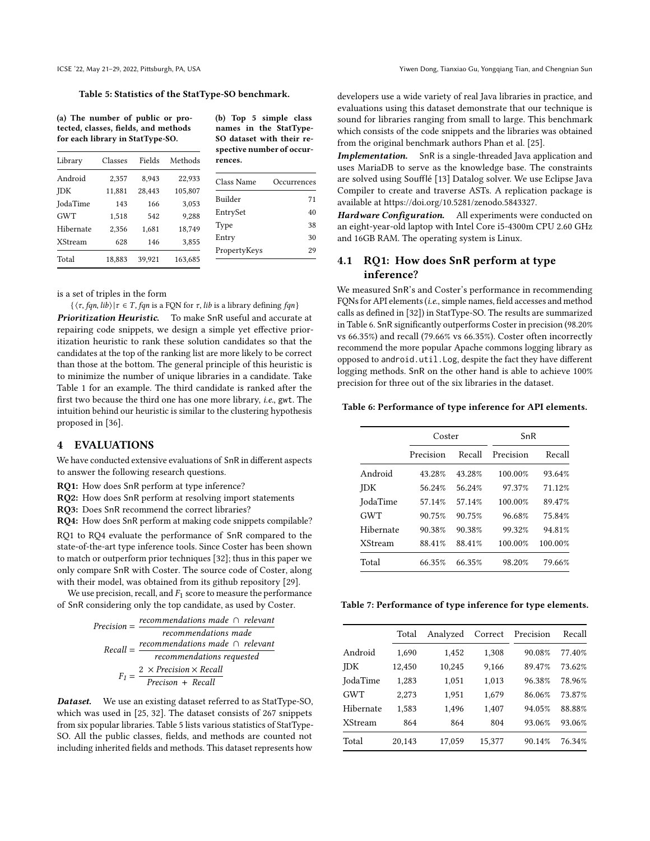#### <span id="page-7-0"></span>Table 5: Statistics of the StatType-SO benchmark.

(a) The number of public or protected, classes, fields, and methods for each library in StatType-SO.

| Library        | Classes | Fields | Methods |  |
|----------------|---------|--------|---------|--|
| Android        | 2,357   | 8,943  | 22,933  |  |
| JDK            | 11,881  | 28,443 | 105,807 |  |
| JodaTime       | 143     | 166    | 3,053   |  |
| <b>GWT</b>     | 1,518   | 542    | 9,288   |  |
| Hibernate      | 2,356   | 1,681  | 18,749  |  |
| <b>XStream</b> | 628     | 146    | 3,855   |  |
| Total          | 18.883  | 39.921 | 163,685 |  |

(b) Top 5 simple class names in the StatType-SO dataset with their respective number of occurrences.

| Class Name   | Occurrences |
|--------------|-------------|
| Builder      | 71          |
| EntrySet     | 40          |
| Type         | 38          |
| Entry        | 30          |
| PropertyKeys | 29          |

is a set of triples in the form

 $\{\langle \tau, fqn, lib \rangle | \tau \in T, fqn$  is a FQN for  $\tau, lib$  is a library defining  $fan\}$ Prioritization Heuristic. To make SnR useful and accurate at repairing code snippets, we design a simple yet effective prioritization heuristic to rank these solution candidates so that the candidates at the top of the ranking list are more likely to be correct than those at the bottom. The general principle of this heuristic is to minimize the number of unique libraries in a candidate. Take Table [1](#page-2-0) for an example. The third candidate is ranked after the first two because the third one has one more library, i.e., gwt. The intuition behind our heuristic is similar to the clustering hypothesis proposed in [\[36\]](#page-11-7).

#### <span id="page-7-3"></span>4 EVALUATIONS

We have conducted extensive evaluations of SnR in different aspects to answer the following research questions.

RQ1: How does SnR perform at type inference?

RQ2: How does SnR perform at resolving import statements

RQ3: Does SnR recommend the correct libraries?

RQ4: How does SnR perform at making code snippets compilable?

RQ1 to RQ4 evaluate the performance of SnR compared to the state-of-the-art type inference tools. Since Coster has been shown to match or outperform prior techniques [\[32\]](#page-11-10); thus in this paper we only compare SnR with Coster. The source code of Coster, along with their model, was obtained from its github repository [\[29\]](#page-11-14).

We use precision, recall, and  $F_1$  score to measure the performance of SnR considering only the top candidate, as used by Coster.

| $Precision = \frac{1}{2}$ | recommendations made $\,\cap\,$ relevant                                                  |
|---------------------------|-------------------------------------------------------------------------------------------|
|                           | recommendations made                                                                      |
|                           | $Recall = \frac{recommediations \  made \ \cap \ relevant}{recommediations \  requested}$ |
|                           |                                                                                           |
|                           |                                                                                           |
|                           | $\frac{2 \times Precision \times Recall}{Precision + Recall}$                             |

Dataset. We use an existing dataset referred to as StatType-SO, which was used in [\[25,](#page-11-9) [32\]](#page-11-10). The dataset consists of 267 snippets from six popular libraries. Table [5](#page-7-0) lists various statistics of StatType-SO. All the public classes, fields, and methods are counted not including inherited fields and methods. This dataset represents how

developers use a wide variety of real Java libraries in practice, and evaluations using this dataset demonstrate that our technique is sound for libraries ranging from small to large. This benchmark which consists of the code snippets and the libraries was obtained from the original benchmark authors Phan et al. [\[25\]](#page-11-9).

Implementation. SnR is a single-threaded Java application and uses MariaDB to serve as the knowledge base. The constraints are solved using Soufflé [\[13\]](#page-10-7) Datalog solver. We use Eclipse Java Compiler to create and traverse ASTs. A replication package is available at [https://doi.org/10.5281/zenodo.5843327.](https://doi.org/10.5281/zenodo.5843327)

Hardware Configuration. All experiments were conducted on an eight-year-old laptop with Intel Core i5-4300m CPU 2.60 GHz and 16GB RAM. The operating system is Linux.

# 4.1 RQ1: How does SnR perform at type inference?

We measured SnR's and Coster's performance in recommending FQNs for API elements (i.e., simple names, field accesses and method calls as defined in [\[32\]](#page-11-10)) in StatType-SO. The results are summarized in Table [6.](#page-7-1) SnR significantly outperforms Coster in precision (98.20% vs 66.35%) and recall (79.66% vs 66.35%). Coster often incorrectly recommend the more popular Apache commons logging library as opposed to android.util.Log, despite the fact they have different logging methods. SnR on the other hand is able to achieve 100% precision for three out of the six libraries in the dataset.

#### <span id="page-7-1"></span>Table 6: Performance of type inference for API elements.

|                | Coster              |        | SnR       |         |  |
|----------------|---------------------|--------|-----------|---------|--|
|                | Recall<br>Precision |        | Precision | Recall  |  |
| Android        | 43.28%              | 43.28% | 100.00%   | 93.64%  |  |
| <b>IDK</b>     | 56.24%              | 56.24% | 97.37%    | 71.12%  |  |
| JodaTime       | 57.14%              | 57.14% | 100.00%   | 89.47%  |  |
| <b>GWT</b>     | 90.75%              | 90.75% | 96.68%    | 75.84%  |  |
| Hibernate      | 90.38%              | 90.38% | 99.32%    | 94.81%  |  |
| <b>XStream</b> | 88.41%              | 88.41% | 100.00%   | 100.00% |  |
| Total          | 66.35%              | 66.35% | 98.20%    | 79.66%  |  |

<span id="page-7-2"></span>Table 7: Performance of type inference for type elements.

|                | Total  | Analyzed | Correct | Precision | Recall |
|----------------|--------|----------|---------|-----------|--------|
| Android        | 1.690  | 1,452    | 1,308   | 90.08%    | 77.40% |
| <b>JDK</b>     | 12,450 | 10,245   | 9,166   | 89.47%    | 73.62% |
| JodaTime       | 1,283  | 1,051    | 1,013   | 96.38%    | 78.96% |
| <b>GWT</b>     | 2,273  | 1,951    | 1,679   | 86.06%    | 73.87% |
| Hibernate      | 1,583  | 1,496    | 1,407   | 94.05%    | 88.88% |
| <b>XStream</b> | 864    | 864      | 804     | 93.06%    | 93.06% |
| Total          | 20.143 | 17.059   | 15,377  | 90.14%    | 76.34% |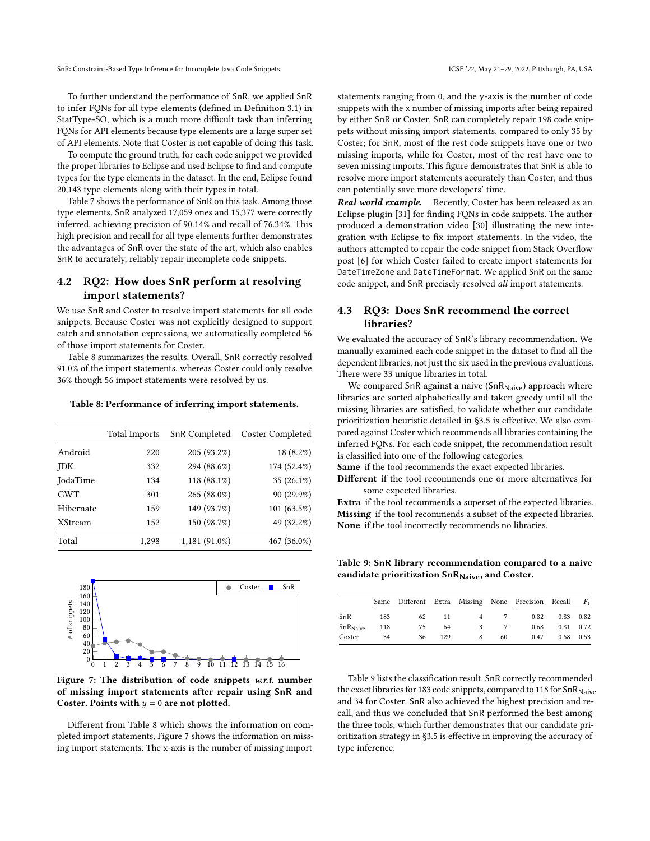To further understand the performance of SnR, we applied SnR to infer FQNs for all type elements (defined in Definition [3.1\)](#page-4-4) in StatType-SO, which is a much more difficult task than inferring FQNs for API elements because type elements are a large super set of API elements. Note that Coster is not capable of doing this task.

To compute the ground truth, for each code snippet we provided the proper libraries to Eclipse and used Eclipse to find and compute types for the type elements in the dataset. In the end, Eclipse found 20,143 type elements along with their types in total.

Table [7](#page-7-2) shows the performance of SnR on this task. Among those type elements, SnR analyzed 17,059 ones and 15,377 were correctly inferred, achieving precision of 90.14% and recall of 76.34%. This high precision and recall for all type elements further demonstrates the advantages of SnR over the state of the art, which also enables SnR to accurately, reliably repair incomplete code snippets.

# 4.2 RQ2: How does SnR perform at resolving import statements?

We use SnR and Coster to resolve import statements for all code snippets. Because Coster was not explicitly designed to support catch and annotation expressions, we automatically completed 56 of those import statements for Coster.

Table [8](#page-8-0) summarizes the results. Overall, SnR correctly resolved 91.0% of the import statements, whereas Coster could only resolve 36% though 56 import statements were resolved by us.

<span id="page-8-0"></span>Table 8: Performance of inferring import statements.

|                | <b>Total Imports</b> | SnR Completed | Coster Completed |
|----------------|----------------------|---------------|------------------|
| Android        | 220                  | 205 (93.2%)   | 18 (8.2%)        |
| <b>IDK</b>     | 332                  | 294 (88.6%)   | 174 (52.4%)      |
| JodaTime       | 134                  | 118 (88.1%)   | 35 (26.1%)       |
| <b>GWT</b>     | 301                  | 265 (88.0%)   | 90 (29.9%)       |
| Hibernate      | 159                  | 149 (93.7%)   | 101 (63.5%)      |
| <b>XStream</b> | 152                  | 150 (98.7%)   | 49 (32.2%)       |
| Total          | 1.298                | 1,181 (91.0%) | 467 (36.0%)      |

<span id="page-8-1"></span>

Figure 7: The distribution of code snippets w.r.t. number of missing import statements after repair using SnR and Coster. Points with  $y = 0$  are not plotted.

Different from Table [8](#page-8-0) which shows the information on completed import statements, Figure [7](#page-8-1) shows the information on missing import statements. The x-axis is the number of missing import

statements ranging from 0, and the y-axis is the number of code snippets with the x number of missing imports after being repaired by either SnR or Coster. SnR can completely repair 198 code snippets without missing import statements, compared to only 35 by Coster; for SnR, most of the rest code snippets have one or two missing imports, while for Coster, most of the rest have one to seven missing imports. This figure demonstrates that SnR is able to resolve more import statements accurately than Coster, and thus can potentially save more developers' time.

Real world example. Recently, Coster has been released as an Eclipse plugin [\[31\]](#page-11-15) for finding FQNs in code snippets. The author produced a demonstration video [\[30\]](#page-11-16) illustrating the new integration with Eclipse to fix import statements. In the video, the authors attempted to repair the code snippet from Stack Overflow post [\[6\]](#page-10-8) for which Coster failed to create import statements for DateTimeZone and DateTimeFormat. We applied SnR on the same code snippet, and SnR precisely resolved all import statements.

# 4.3 RQ3: Does SnR recommend the correct libraries?

We evaluated the accuracy of SnR's library recommendation. We manually examined each code snippet in the dataset to find all the dependent libraries, not just the six used in the previous evaluations. There were 33 unique libraries in total.

We compared SnR against a naive (SnR $_{\text{Naive}}$ ) approach where libraries are sorted alphabetically and taken greedy until all the missing libraries are satisfied, to validate whether our candidate prioritization heuristic detailed in [§3.5](#page-6-2) is effective. We also compared against Coster which recommends all libraries containing the inferred FQNs. For each code snippet, the recommendation result is classified into one of the following categories.

Same if the tool recommends the exact expected libraries.

Different if the tool recommends one or more alternatives for some expected libraries.

Extra if the tool recommends a superset of the expected libraries. Missing if the tool recommends a subset of the expected libraries. None if the tool incorrectly recommends no libraries.

<span id="page-8-2"></span>Table 9: SnR library recommendation compared to a naive candidate prioritization  $SnR_{Naive}$ , and Coster.

|                       |     |    |     |   |    | Same Different Extra Missing None Precision Recall |      | $F_{1}$ |
|-----------------------|-----|----|-----|---|----|----------------------------------------------------|------|---------|
| SnR                   | 183 | 62 | 11  |   |    | 0.82                                               | 0.83 | 0.82    |
| SnR <sub>Native</sub> | 118 | 75 | 64  |   |    | 0.68                                               | 0.81 | 0.72    |
| Coster                | 34  | 36 | 129 | 8 | 60 | 0.47                                               | 0.68 | 0.53    |

Table [9](#page-8-2) lists the classification result. SnR correctly recommended the exact libraries for 183 code snippets, compared to 118 for  $SnR<sub>Naive</sub>$ and 34 for Coster. SnR also achieved the highest precision and recall, and thus we concluded that SnR performed the best among the three tools, which further demonstrates that our candidate prioritization strategy in [§3.5](#page-6-2) is effective in improving the accuracy of type inference.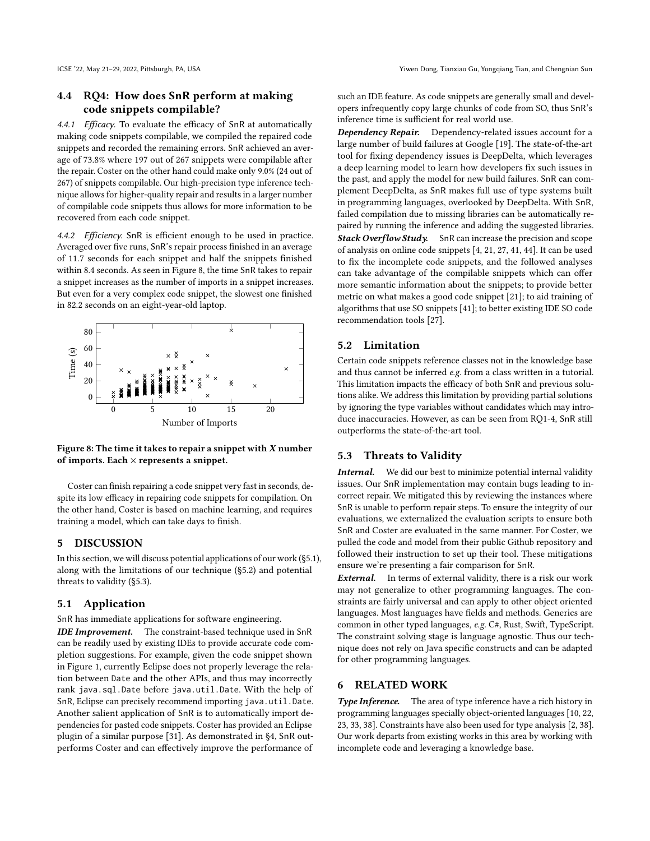# 4.4 RQ4: How does SnR perform at making code snippets compilable?

4.4.1 Efficacy. To evaluate the efficacy of SnR at automatically making code snippets compilable, we compiled the repaired code snippets and recorded the remaining errors. SnR achieved an average of 73.8% where 197 out of 267 snippets were compilable after the repair. Coster on the other hand could make only 9.0% (24 out of 267) of snippets compilable. Our high-precision type inference technique allows for higher-quality repair and results in a larger number of compilable code snippets thus allows for more information to be recovered from each code snippet.

4.4.2 Efficiency. SnR is efficient enough to be used in practice. Averaged over five runs, SnR's repair process finished in an average of 11.7 seconds for each snippet and half the snippets finished within 8.4 seconds. As seen in Figure [8,](#page-9-0) the time SnR takes to repair a snippet increases as the number of imports in a snippet increases. But even for a very complex code snippet, the slowest one finished in 82.2 seconds on an eight-year-old laptop.

<span id="page-9-0"></span>

Figure 8: The time it takes to repair a snippet with  $X$  number of imports. Each  $\times$  represents a snippet.

Coster can finish repairing a code snippet very fast in seconds, despite its low efficacy in repairing code snippets for compilation. On the other hand, Coster is based on machine learning, and requires training a model, which can take days to finish.

## 5 DISCUSSION

In this section, we will discuss potential applications of our work ([§5.1\)](#page-9-1), along with the limitations of our technique ([§5.2\)](#page-9-2) and potential threats to validity ([§5.3\)](#page-9-3).

#### <span id="page-9-1"></span>5.1 Application

SnR has immediate applications for software engineering.

IDE Improvement. The constraint-based technique used in SnR can be readily used by existing IDEs to provide accurate code completion suggestions. For example, given the code snippet shown in Figure [1,](#page-1-0) currently Eclipse does not properly leverage the relation between Date and the other APIs, and thus may incorrectly rank java.sql.Date before java.util.Date. With the help of SnR, Eclipse can precisely recommend importing java.util.Date. Another salient application of SnR is to automatically import dependencies for pasted code snippets. Coster has provided an Eclipse plugin of a similar purpose [\[31\]](#page-11-15). As demonstrated in [§4,](#page-7-3) SnR outperforms Coster and can effectively improve the performance of

such an IDE feature. As code snippets are generally small and developers infrequently copy large chunks of code from SO, thus SnR's inference time is sufficient for real world use.

Dependency Repair. Dependency-related issues account for a large number of build failures at Google [\[19\]](#page-11-17). The state-of-the-art tool for fixing dependency issues is DeepDelta, which leverages a deep learning model to learn how developers fix such issues in the past, and apply the model for new build failures. SnR can complement DeepDelta, as SnR makes full use of type systems built in programming languages, overlooked by DeepDelta. With SnR, failed compilation due to missing libraries can be automatically repaired by running the inference and adding the suggested libraries. **Stack Overflow Study.** SnR can increase the precision and scope of analysis on online code snippets [\[4,](#page-10-9) [21,](#page-11-2) [27,](#page-11-18) [41,](#page-11-5) [44\]](#page-11-6). It can be used to fix the incomplete code snippets, and the followed analyses can take advantage of the compilable snippets which can offer more semantic information about the snippets; to provide better metric on what makes a good code snippet [\[21\]](#page-11-2); to aid training of algorithms that use SO snippets [\[41\]](#page-11-5); to better existing IDE SO code recommendation tools [\[27\]](#page-11-18).

# <span id="page-9-2"></span>5.2 Limitation

Certain code snippets reference classes not in the knowledge base and thus cannot be inferred e.g. from a class written in a tutorial. This limitation impacts the efficacy of both SnR and previous solutions alike. We address this limitation by providing partial solutions by ignoring the type variables without candidates which may introduce inaccuracies. However, as can be seen from RQ1-4, SnR still outperforms the state-of-the-art tool.

## <span id="page-9-3"></span>5.3 Threats to Validity

Internal. We did our best to minimize potential internal validity issues. Our SnR implementation may contain bugs leading to incorrect repair. We mitigated this by reviewing the instances where SnR is unable to perform repair steps. To ensure the integrity of our evaluations, we externalized the evaluation scripts to ensure both SnR and Coster are evaluated in the same manner. For Coster, we pulled the code and model from their public Github repository and followed their instruction to set up their tool. These mitigations ensure we're presenting a fair comparison for SnR.

External. In terms of external validity, there is a risk our work may not generalize to other programming languages. The constraints are fairly universal and can apply to other object oriented languages. Most languages have fields and methods. Generics are common in other typed languages, e.g. C#, Rust, Swift, TypeScript. The constraint solving stage is language agnostic. Thus our technique does not rely on Java specific constructs and can be adapted for other programming languages.

# 6 RELATED WORK

Type Inference. The area of type inference have a rich history in programming languages specially object-oriented languages [\[10,](#page-10-10) [22,](#page-11-19) [23,](#page-11-20) [33,](#page-11-21) [38\]](#page-11-22). Constraints have also been used for type analysis [\[2,](#page-10-11) [38\]](#page-11-22). Our work departs from existing works in this area by working with incomplete code and leveraging a knowledge base.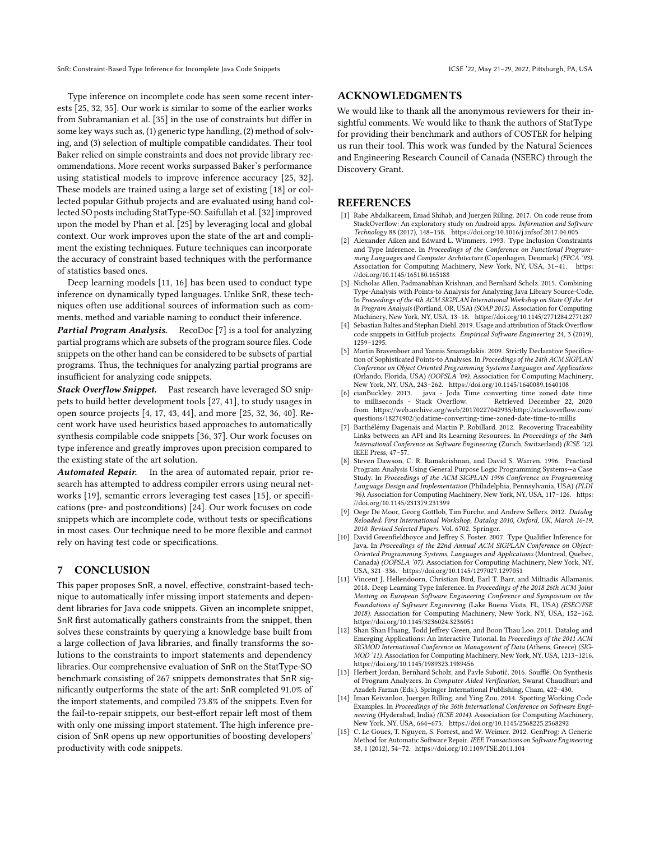SnR: Constraint-Based Type Inference for Incomplete Java Code Snippets ICSE '22, May 21-29, 2022, Pittsburgh, PA, USA

Type inference on incomplete code has seen some recent interests [\[25,](#page-11-9) [32,](#page-11-10) [35\]](#page-11-8). Our work is similar to some of the earlier works from Subramanian et al. [\[35\]](#page-11-8) in the use of constraints but differ in some key ways such as, (1) generic type handling, (2) method of solving, and (3) selection of multiple compatible candidates. Their tool Baker relied on simple constraints and does not provide library recommendations. More recent works surpassed Baker's performance using statistical models to improve inference accuracy [\[25,](#page-11-9) [32\]](#page-11-10). These models are trained using a large set of existing [\[18\]](#page-11-23) or collected popular Github projects and are evaluated using hand col-lected SO posts including StatType-SO. Saifullah et al. [\[32\]](#page-11-10) improved upon the model by Phan et al. [\[25\]](#page-11-9) by leveraging local and global context. Our work improves upon the state of the art and compliment the existing techniques. Future techniques can incorporate the accuracy of constraint based techniques with the performance of statistics based ones.

Deep learning models [\[11,](#page-10-12) [16\]](#page-11-24) has been used to conduct type inference on dynamically typed languages. Unlike SnR, these techniques often use additional sources of information such as comments, method and variable naming to conduct their inference.

**Partial Program Analysis.** RecoDoc [\[7\]](#page-10-13) is a tool for analyzing partial programs which are subsets of the program source files. Code snippets on the other hand can be considered to be subsets of partial programs. Thus, the techniques for analyzing partial programs are insufficient for analyzing code snippets.

Stack Overflow Snippet. Past research have leveraged SO snippets to build better development tools [\[27,](#page-11-18) [41\]](#page-11-5), to study usages in open source projects [\[4,](#page-10-9) [17,](#page-11-1) [43,](#page-11-25) [44\]](#page-11-6), and more [\[25,](#page-11-9) [32,](#page-11-10) [36,](#page-11-7) [40\]](#page-11-26). Recent work have used heuristics based approaches to automatically synthesis compilable code snippets [\[36,](#page-11-7) [37\]](#page-11-27). Our work focuses on type inference and greatly improves upon precision compared to the existing state of the art solution.

Automated Repair. In the area of automated repair, prior research has attempted to address compiler errors using neural networks [\[19\]](#page-11-17), semantic errors leveraging test cases [\[15\]](#page-10-14), or specifications (pre- and postconditions) [\[24\]](#page-11-28). Our work focuses on code snippets which are incomplete code, without tests or specifications in most cases. Our technique need to be more flexible and cannot rely on having test code or specifications.

# 7 CONCLUSION

This paper proposes SnR, a novel, effective, constraint-based technique to automatically infer missing import statements and dependent libraries for Java code snippets. Given an incomplete snippet, SnR first automatically gathers constraints from the snippet, then solves these constraints by querying a knowledge base built from a large collection of Java libraries, and finally transforms the solutions to the constraints to import statements and dependency libraries. Our comprehensive evaluation of SnR on the StatType-SO benchmark consisting of 267 snippets demonstrates that SnR significantly outperforms the state of the art: SnR completed 91.0% of the import statements, and compiled 73.8% of the snippets. Even for the fail-to-repair snippets, our best-effort repair left most of them with only one missing import statement. The high inference precision of SnR opens up new opportunities of boosting developers' productivity with code snippets.

## ACKNOWLEDGMENTS

We would like to thank all the anonymous reviewers for their insightful comments. We would like to thank the authors of StatType for providing their benchmark and authors of COSTER for helping us run their tool. This work was funded by the Natural Sciences and Engineering Research Council of Canada (NSERC) through the Discovery Grant.

## **REFERENCES**

- <span id="page-10-0"></span>[1] Rabe Abdalkareem, Emad Shihab, and Juergen Rilling. 2017. On code reuse from StackOverflow: An exploratory study on Android apps. Information and Software Technology 88 (2017), 148–158.<https://doi.org/10.1016/j.infsof.2017.04.005>
- <span id="page-10-11"></span>Alexander Aiken and Edward L. Wimmers. 1993. Type Inclusion Constraints and Type Inference. In Proceedings of the Conference on Functional Programming Languages and Computer Architecture (Copenhagen, Denmark) (FPCA '93). Association for Computing Machinery, New York, NY, USA, 31–41. [https:](https://doi.org/10.1145/165180.165188) [//doi.org/10.1145/165180.165188](https://doi.org/10.1145/165180.165188)
- <span id="page-10-4"></span>[3] Nicholas Allen, Padmanabhan Krishnan, and Bernhard Scholz. 2015. Combining Type-Analysis with Points-to Analysis for Analyzing Java Library Source-Code. In Proceedings of the 4th ACM SIGPLAN International Workshop on State Of the Art in Program Analysis (Portland, OR, USA) (SOAP 2015). Association for Computing Machinery, New York, NY, USA, 13–18.<https://doi.org/10.1145/2771284.2771287>
- <span id="page-10-9"></span>[4] Sebastian Baltes and Stephan Diehl. 2019. Usage and attribution of Stack Overflow code snippets in GitHub projects. Empirical Software Engineering 24, 3 (2019), 1259–1295.
- <span id="page-10-5"></span>[5] Martin Bravenboer and Yannis Smaragdakis. 2009. Strictly Declarative Specification of Sophisticated Points-to Analyses. In Proceedings of the 24th ACM SIGPLAN Conference on Object Oriented Programming Systems Languages and Applications (Orlando, Florida, USA) (OOPSLA '09). Association for Computing Machinery, New York, NY, USA, 243–262.<https://doi.org/10.1145/1640089.1640108>
- <span id="page-10-8"></span>[6] cianBuckley. 2013. java - Joda Time converting time zoned date time to milliseconds - Stack Overflow. Retrieved December 22, 2020 from [https://web.archive.org/web/20170227042935/http://stackoverflow.com/](https://web.archive.org/web/20170227042935/http://stackoverflow.com/questions/18274902/jodatime-converting-time-zoned-date-time-to-millis) [questions/18274902/jodatime-converting-time-zoned-date-time-to-millis](https://web.archive.org/web/20170227042935/http://stackoverflow.com/questions/18274902/jodatime-converting-time-zoned-date-time-to-millis)
- <span id="page-10-13"></span>[7] Barthélémy Dagenais and Martin P. Robillard. 2012. Recovering Traceability Links between an API and Its Learning Resources. In Proceedings of the 34th International Conference on Software Engineering (Zurich, Switzerland) (ICSE '12). IEEE Press, 47–57.
- <span id="page-10-6"></span>[8] Steven Dawson, C. R. Ramakrishnan, and David S. Warren. 1996. Practical Program Analysis Using General Purpose Logic Programming Systems—a Case Study. In Proceedings of the ACM SIGPLAN 1996 Conference on Programming Language Design and Implementation (Philadelphia, Pennsylvania, USA) (PLDI '96). Association for Computing Machinery, New York, NY, USA, 117–126. [https:](https://doi.org/10.1145/231379.231399) [//doi.org/10.1145/231379.231399](https://doi.org/10.1145/231379.231399)
- <span id="page-10-2"></span>Oege De Moor, Georg Gottlob, Tim Furche, and Andrew Sellers. 2012. Datalog Reloaded: First International Workshop, Datalog 2010, Oxford, UK, March 16-19, 2010. Revised Selected Papers. Vol. 6702. Springer.
- <span id="page-10-10"></span>[10] David Greenfieldboyce and Jeffrey S. Foster. 2007. Type Qualifier Inference for Java. In Proceedings of the 22nd Annual ACM SIGPLAN Conference on Object-Oriented Programming Systems, Languages and Applications (Montreal, Quebec, Canada) (OOPSLA '07). Association for Computing Machinery, New York, NY, USA, 321–336.<https://doi.org/10.1145/1297027.1297051>
- <span id="page-10-12"></span>[11] Vincent J. Hellendoorn, Christian Bird, Earl T. Barr, and Miltiadis Allamanis. 2018. Deep Learning Type Inference. In Proceedings of the 2018 26th ACM Joint Meeting on European Software Engineering Conference and Symposium on the Foundations of Software Engineering (Lake Buena Vista, FL, USA) (ESEC/FSE 2018). Association for Computing Machinery, New York, NY, USA, 152–162. <https://doi.org/10.1145/3236024.3236051>
- <span id="page-10-3"></span>[12] Shan Shan Huang, Todd Jeffrey Green, and Boon Thau Loo. 2011. Datalog and Emerging Applications: An Interactive Tutorial. In Proceedings of the 2011 ACM SIGMOD International Conference on Management of Data (Athens, Greece) (SIG-MOD '11). Association for Computing Machinery, New York, NY, USA, 1213–1216. <https://doi.org/10.1145/1989323.1989456>
- <span id="page-10-7"></span>[13] Herbert Jordan, Bernhard Scholz, and Pavle Subotić. 2016. Soufflé: On Synthesis of Program Analyzers. In Computer Aided Verification, Swarat Chaudhuri and Azadeh Farzan (Eds.). Springer International Publishing, Cham, 422–430.
- <span id="page-10-1"></span>[14] Iman Keivanloo, Juergen Rilling, and Ying Zou. 2014. Spotting Working Code Examples. In Proceedings of the 36th International Conference on Software Engineering (Hyderabad, India) (ICSE 2014). Association for Computing Machinery, New York, NY, USA, 664–675.<https://doi.org/10.1145/2568225.2568292>
- <span id="page-10-14"></span>[15] C. Le Goues, T. Nguyen, S. Forrest, and W. Weimer. 2012. GenProg: A Generic Method for Automatic Software Repair. IEEE Transactions on Software Engineering 38, 1 (2012), 54–72.<https://doi.org/10.1109/TSE.2011.104>